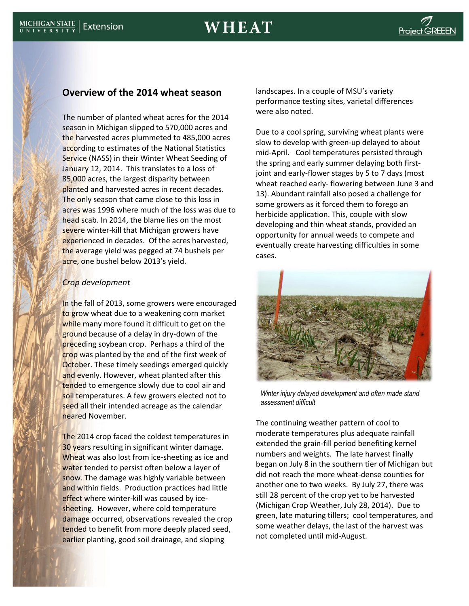# **Overview of the 2014 wheat season**

The number of planted wheat acres for the 2014 season in Michigan slipped to 570,000 acres and the harvested acres plummeted to 485,000 acres according to estimates of the National Statistics Service (NASS) in their Winter Wheat Seeding of January 12, 2014. This translates to a loss of 85,000 acres, the largest disparity between planted and harvested acres in recent decades. The only season that came close to this loss in acres was 1996 where much of the loss was due to head scab. In 2014, the blame lies on the most severe winter-kill that Michigan growers have experienced in decades. Of the acres harvested, the average yield was pegged at 74 bushels per acre, one bushel below 2013's yield.

## *Crop development*

In the fall of 2013, some growers were encouraged to grow wheat due to a weakening corn market while many more found it difficult to get on the ground because of a delay in dry-down of the preceding soybean crop. Perhaps a third of the crop was planted by the end of the first week of **October.** These timely seedings emerged quickly and evenly. However, wheat planted after this tended to emergence slowly due to cool air and soil temperatures. A few growers elected not to seed all their intended acreage as the calendar neared November.

The 2014 crop faced the coldest temperatures in 30 years resulting in significant winter damage. Wheat was also lost from ice-sheeting as ice and water tended to persist often below a layer of snow. The damage was highly variable between and within fields. Production practices had little effect where winter-kill was caused by icesheeting. However, where cold temperature damage occurred, observations revealed the crop tended to benefit from more deeply placed seed, earlier planting, good soil drainage, and sloping

landscapes. In a couple of MSU's variety performance testing sites, varietal differences were also noted.

Due to a cool spring, surviving wheat plants were slow to develop with green-up delayed to about mid-April. Cool temperatures persisted through the spring and early summer delaying both firstjoint and early-flower stages by 5 to 7 days (most wheat reached early- flowering between June 3 and 13). Abundant rainfall also posed a challenge for some growers as it forced them to forego an herbicide application. This, couple with slow developing and thin wheat stands, provided an opportunity for annual weeds to compete and eventually create harvesting difficulties in some cases.



*Winter injury delayed development and often made stand assessment difficult*

The continuing weather pattern of cool to moderate temperatures plus adequate rainfall extended the grain-fill period benefiting kernel numbers and weights. The late harvest finally began on July 8 in the southern tier of Michigan but did not reach the more wheat-dense counties for another one to two weeks. By July 27, there was still 28 percent of the crop yet to be harvested (Michigan Crop Weather, July 28, 2014). Due to green, late maturing tillers; cool temperatures, and some weather delays, the last of the harvest was not completed until mid-August.